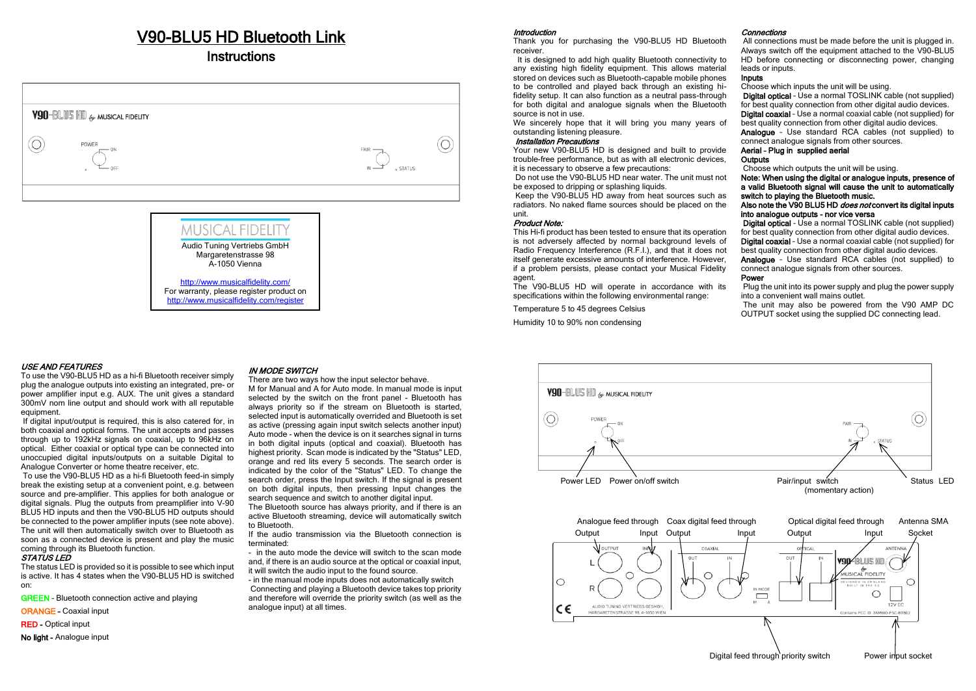# V90-BLU5 HD Bluetooth Link

**Instructions** 





For warranty, please register product on <http://www.musicalfidelity.com/register>

### USE AND FEATURES

To use the V90-BLU5 HD as a hi-fi Bluetooth receiver simply plug the analogue outputs into existing an integrated, pre- or power amplifier input e.g. AUX. The unit gives a standard 300mV nom line output and should work with all reputable equipment.

If digital input/output is required, this is also catered for, in both coaxial and optical forms. The unit accepts and passes through up to 192kHz signals on coaxial, up to 96kHz on optical. Either coaxial or optical type can be connected into unoccupied digital inputs/outputs on a suitable Digital to Analogue Converter or home theatre receiver, etc.

To use the V90-BLU5 HD as a hi-fi Bluetooth feed-in simply break the existing setup at a convenient point, e.g. between source and pre-amplifier. This applies for both analogue or digital signals. Plug the outputs from preamplifier into V-90 BLU5 HD inputs and then the V90-BLU5 HD outputs should be connected to the power amplifier inputs (see note above). The unit will then automatically switch over to Bluetooth as soon as a connected device is present and play the music coming through its Bluetooth function.

## STATUS LED

The status LED is provided so it is possible to see which input is active. It has 4 states when the V90-BLU5 HD is switched on:

GREEN – Bluetooth connection active and playing

ORANGE – Coaxial input

RED - Optical input

No light - Analogue input

# IN MODE SWITCH

There are two ways how the input selector behave.

M for Manual and A for Auto mode. In manual mode is input selected by the switch on the front panel - Bluetooth has always priority so if the stream on Bluetooth is started, selected input is automatically overrided and Bluetooth is set as active (pressing again input switch selects another input) Auto mode - when the device is on it searches signal in turns in both digital inputs (optical and coaxial). Bluetooth has highest priority. Scan mode is indicated by the "Status" LED, orange and red lits every 5 seconds. The search order is indicated by the color of the "Status" LED. To change the search order, press the Input switch. If the signal is present on both digital inputs, then pressing Input changes the search sequence and switch to another digital input.

The Bluetooth source has always priority, and if there is an active Bluetooth streaming, device will automatically switch to Bluetooth.

If the audio transmission via the Bluetooth connection is terminated:

- in the auto mode the device will switch to the scan mode and, if there is an audio source at the optical or coaxial input, it will switch the audio input to the found source.

- in the manual mode inputs does not automatically switch Connecting and playing a Bluetooth device takes top priority and therefore will override the priority switch (as well as the analogue input) at all times.

### Introduction

Thank you for purchasing the V90-BLU5 HD Bluetooth receiver.

It is designed to add high quality Bluetooth connectivity to any existing high fidelity equipment. This allows material stored on devices such as Bluetooth-capable mobile phones to be controlled and played back through an existing hifidelity setup. It can also function as a neutral pass-through for both digital and analogue signals when the Bluetooth source is not in use.

We sincerely hope that it will bring you many years of outstanding listening pleasure.

# Installation Precautions

Your new V90-BLU5 HD is designed and built to provide trouble-free performance, but as with all electronic devices, it is necessary to observe a few precautions:

Do not use the V90-BLU5 HD near water. The unit must not be exposed to dripping or splashing liquids.

Keep the V90-BLU5 HD away from heat sources such as radiators. No naked flame sources should be placed on the unit.

### Product Note:

This Hi-fi product has been tested to ensure that its operation is not adversely affected by normal background levels of Radio Frequency Interference (R.F.I.), and that it does not itself generate excessive amounts of interference. However, if a problem persists, please contact your Musical Fidelity agent.

The V90-BLU5 HD will operate in accordance with its specifications within the following environmental range:

Temperature 5 to 45 degrees Celsius

Humidity 10 to 90% non condensing

### Connections

All connections must be made before the unit is plugged in. Always switch off the equipment attached to the V90-BLU5 HD before connecting or disconnecting power, changing leads or inputs.

### Inputs

Choose which inputs the unit will be using.

Digital optical - Use a normal TOSLINK cable (not supplied) for best quality connection from other digital audio devices. Digital coaxial - Use a normal coaxial cable (not supplied) for best quality connection from other digital audio devices.

Analogue – Use standard RCA cables (not supplied) to connect analogue signals from other sources.

### Aerial – Plug in supplied aerial **Outputs**

Choose which outputs the unit will be using.

Note: When using the digital or analogue inputs, presence of a valid Bluetooth signal will cause the unit to automatically switch to playing the Bluetooth music.

# Also note the V90 BLU5 HD does not convert its digital inputs into analogue outputs - nor vice versa

Digital optical - Use a normal TOSLINK cable (not supplied) for best quality connection from other digital audio devices. Digital coaxial – Use a normal coaxial cable (not supplied) for best quality connection from other digital audio devices.

Analogue – Use standard RCA cables (not supplied) to connect analogue signals from other sources.

# Power

Plug the unit into its power supply and plug the power supply into a convenient wall mains outlet.

The unit may also be powered from the V90 AMP DC OUTPUT socket using the supplied DC connecting lead.



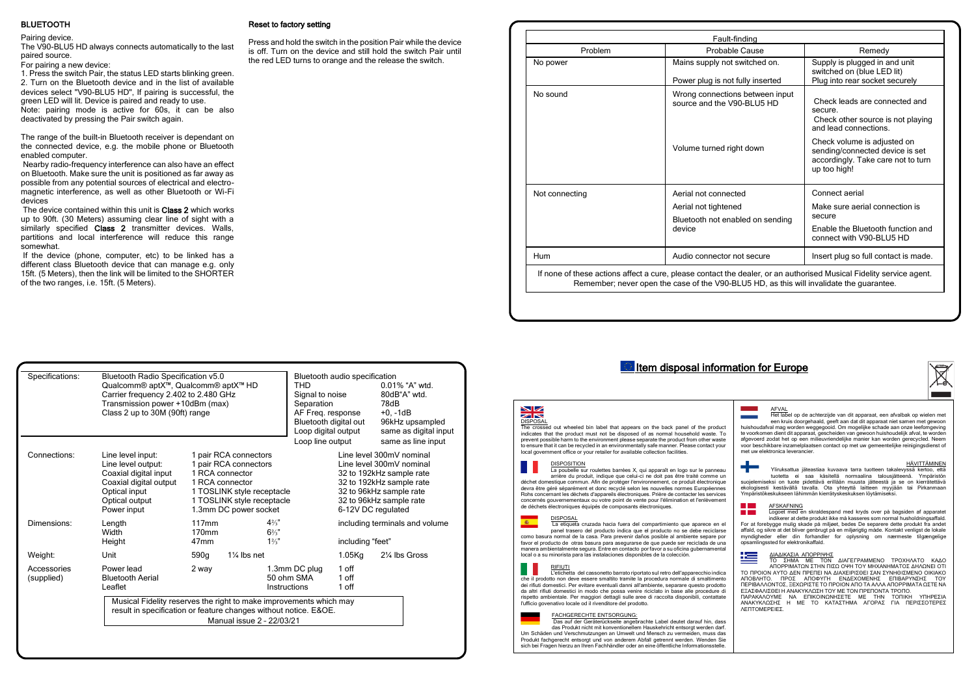# BLUETOOTH

Pairing device.

The V90-BLU5 HD always connects automatically to the last paired source.

For pairing a new device:

1. Press the switch Pair, the status LED starts blinking green. 2. Turn on the Bluetooth device and in the list of available devices select "V90-BLU5 HD", If pairing is successful, the green LED will lit. Device is paired and ready to use. Note: pairing mode is active for 60s, it can be also deactivated by pressing the Pair switch again.

The range of the built-in Bluetooth receiver is dependant on the connected device, e.g. the mobile phone or Bluetooth enabled computer.

Nearby radio-frequency interference can also have an effect on Bluetooth. Make sure the unit is positioned as far away as possible from any potential sources of electrical and electromagnetic interference, as well as other Bluetooth or Wi-Fi devices

The device contained within this unit is Class 2 which works up to 90ft. (30 Meters) assuming clear line of sight with a similarly specified Class 2 transmitter devices. Walls, partitions and local interference will reduce this range somewhat.

If the device (phone, computer, etc) to be linked has a different class Bluetooth device that can manage e.g. only 15ft. (5 Meters), then the link will be limited to the SHORTER of the two ranges, i.e. 15ft. (5 Meters).

# Reset to factory setting

Press and hold the switch in the position Pair while the device is off. Turn on the device and still hold the switch Pair until the red LED turns to orange and the release the switch.

| Problem        | Probable Cause                                                                                                                                                                                                  | Remedy                                                                                                               |  |  |
|----------------|-----------------------------------------------------------------------------------------------------------------------------------------------------------------------------------------------------------------|----------------------------------------------------------------------------------------------------------------------|--|--|
| No power       | Mains supply not switched on.                                                                                                                                                                                   | Supply is plugged in and unit<br>switched on (blue LED lit)                                                          |  |  |
|                | Power plug is not fully inserted                                                                                                                                                                                | Plug into rear socket securely                                                                                       |  |  |
| No sound       | Wrong connections between input<br>source and the V90-BLU5 HD                                                                                                                                                   | Check leads are connected and<br>secure.<br>Check other source is not playing<br>and lead connections                |  |  |
|                | Volume turned right down                                                                                                                                                                                        | Check volume is adjusted on<br>sending/connected device is set<br>accordingly. Take care not to turn<br>up too high! |  |  |
| Not connecting | Aerial not connected                                                                                                                                                                                            | Connect aerial                                                                                                       |  |  |
|                | Aerial not tightened                                                                                                                                                                                            | Make sure aerial connection is                                                                                       |  |  |
|                | Bluetooth not enabled on sending                                                                                                                                                                                | secure                                                                                                               |  |  |
|                | device                                                                                                                                                                                                          | Enable the Bluetooth function and<br>connect with V90-BLU5 HD                                                        |  |  |
| Hum            | Audio connector not secure                                                                                                                                                                                      | Insert plug so full contact is made.                                                                                 |  |  |
|                | If none of these actions affect a cure, please contact the dealer, or an authorised Musical Fidelity service agent.<br>Remember; never open the case of the V90-BLU5 HD, as this will invalidate the quarantee. |                                                                                                                      |  |  |

# **Iltem disposal information for Europe**



### Specifications: Bluetooth Radio Specification v5.0 Bluetooth audio specification<br>Cualcomm® antX<sup>™</sup> Qualcomm® antX<sup>™</sup> HD THD 0.01% "A" wtd Qualcomm® aptX™, Qualcomm® aptX™ HD THD 1.001% "A" wtd.<br>Carrier frequency 2.402 to 2.480 GHz Signal to noise 80dB"A" wtd. Carrier frequency 2.402 to 2.480 GHz Signal to noise 80dB<br>Transmission power +10dBm (max) Separation 78dB Transmission power +10dBm (max) Separation 78dB<br>
Class 2 up to 30M (90ft) range AF Freq. response +0. -1dB Class 2 up to 30M (90ft) range AF Freq. response +0, -1dB<br>Bluetooth digital out 96kHz upsampled Bluetooth digital out<br>Loop digital output same as digital input Loop line output same as line input Connections: Line level input: 1 pair RCA connectors Line level 300mV nominal Line level output: 1 pair RCA connectors<br>Coaxial digital input 1 RCA connector Coaxial digital input 1 RCA connector 32 to 192kHz sample rate<br>Coaxial digital output 1 RCA connector 32 to 192kHz sample rate Coaxial digital output 1 RCA connector 32 to 192kHz sample rate<br>
Optical input 1 TOSLINK style receptacle 32 to 96kHz sample rate Optical input 1 TOSLINK style receptacle 32 to 96kHz sample rate<br>
Optical output 1 TOSLINK style receptacle 32 to 96kHz sample rate Optical output 1 TOSLINK style receptacle 32 to 96kHz sample<br>
Power input 1.3mm DC power socket 6-12V DC requiated 1.3mm DC power socket Dimensions: Length 117mm 4⅔" including terminals and volume 170mm 6⅔"<br>47mm 1½" Height 47mm 1⅔" including "feet" Weight: Unit 590g 1¼ lbs net 1.05Kg 2¼ lbs Gross Accessories (supplied) Power lead Bluetooth Aerial Leaflet 2 way 1.3mm DC plug 50 ohm SMA Instructions 1 off 1 off 1 off Musical Fidelity reserves the right to make improvements which may result in specification or feature changes without notice. E&OE. Manual issue 2 – 22/03/21

### <u>NIZ</u> zis DISPOSAL

The crossed out wheeled bin label that appears on the back panel of the product indicates that the product must not be disposed of as normal household waste. To prevent possible harm to the environment please separate the product from other waste to ensure that it can be recycled in an environmentally safe manner. Please contact your local government office or your retailer for available collection facilities.

### DISPOSITION

La poubelle sur roulettes barrées X, qui apparaît en logo sur le panneau arrière du produit, indique que celui-ci ne doit pas être traité comme un déchet domestique commun. Afin de protéger l'environnement, ce produit électronique devra être géré séparément et donc recyclé selon les nouvelles normes Européennes Rohs concernant les déchets d'appareils électroniques. Prière de contacter les services concernés gouvernementaux ou votre point de vente pour l'élimination et l'enlèvement de déchets électroniques équipés de composants électroniques.

DISPOSAL La etiqueta cruzada hacia fuera del compartimiento que aparece en el panel trasero del producto indica que el producto no se debe reciclarse como basura normal de la casa. Para prevenir daños posible al ambiente separe por favor el producto de otras basura para asegurarse de que puede ser reciclada de una manera ambientalmente segura. Entre en contacto por favor a su oficina gubernamental local o a su minorista para las instalaciones disponibles de la colección.

### RIFIUTI

L'etichetta del cassonetto barrato riportato sul retro dell'apparecchio indica che il prodotto non deve essere smaltito tramite la procedura normale di smaltimento dei rifiuti domestici. Per evitare eventuali danni all'ambiente, separare questo prodotto da altri rifiuti domestici in modo che possa venire riciclato in base alle procedure di rispetto ambientale. Per maggiori dettagli sulle aree di raccolta disponibili, contattate l'ufficio govenativo locale od il rivenditore del prodotto.

### FACHGERECHTE ENTSORGUNG:

Das auf der Geräterückseite angebrachte Label deutet darauf hin, dass das Produkt nicht mit konventionellem Hauskehricht entsorgt werden darf. Um Schäden und Verschmutzungen an Umwelt und Mensch zu vermeiden, muss das Produkt fachgerecht entsorgt und von anderem Abfall getrennt werden. Wenden Sie sich bei Fragen hierzu an Ihren Fachhändler oder an eine öffentliche Informationsstelle.



AFVAL Het label op de achterzijde van dit apparaat, een afvalbak op wielen met **The Company** een kruis doorgehaald, geeft aan dat dit apparaat niet samen met gewoon huishoudafval mag worden weggegooid. Om mogelijke schade aan onze leefomgeving te voorkomen dient dit apparaat, gescheiden van gewoon huishoudelijk afval, te worden afgevoerd zodat het op een milieuvriendelijke manier kan worden gerecycled. Neem voor beschikbare inzamelplaatsen contact op met uw gemeentelijke reinigingsdienst of met uw elektronica leverancier.

### HÄVITTÄMINEN

Yliruksattua jäteastiaa kuvaava tarra tuotteen takalevyssä kertoo, että tuotetta ei saa käsitellä normaalina talousjätteenä. Ympäristön suojelemiseksi on tuote pidettävä erillään muusta jätteestä ja se on kierrätettävä ekologisesti kestävällä tavalla. Ota yhteyttä laitteen myyjään tai Pirkanmaan Ympäristökeskukseen lähimmän kierrätyskeskuksen löytämiseksi.

# AFSKAFNING

<u>La sie a ranse</u><br>Logoet med en skraldespand med kryds over på bagsiden af apparatet n m indikerer at dette produkt ikke må kasseres som normal husholdningsaffald. For at forebygge mulig skade på miljøet, bedes De separere dette produkt fra andet affald, og sikre at det bliver genbrugt på en miljørigtig måde. Kontakt venligst de lokale myndigheder eller din forhandler for oplysning om nærmeste tilgængelige opsamlingssted for elektronikaffald.

<u>ΔΙΑΔΙΚΑΣΙΑ ΑΠΟΡΡΙΨΗΣ</u><br>ΤΟ ΣΗΜΑ ΜΕ ΤΟΝ ΔΙΑΓΕΓΡΑΜΜΕΝΟ ΤΡΟΧΗΛΑΤΟ ΚΑΔΟ ΑΠΟΡΡΙΜΑΤΩΝ ΣΤΗΝ ΠΙΣΩ ΟΨΗ ΤΟΥ ΜΗΧΑΝΗΜΑΤΟΣ ΔΗΛΩΝΕΙ ΟΤΙ ΤΟ ΠΡΟΙΟΝ ΑΥΤΟ ΔΕΝ ΠΡΕΠΕΙ ΝΑ ΔΙΑΧΕΙΡΙΣΘΕΙ ΣΑΝ ΣΥΝΗΘΙΣΜΕΝΟ ΟΙΚΙΑΚΟ ΑΠΟΒΛΗΤΟ. ΠΡΟΣ ΑΠΟΦΥΓΗ ΕΝΔΕΧΟΜΕΝΗΣ ΕΠΙΒΑΡΥΝΣΗΣ ΤΟΥ ΠΕΡΙΒΑΛΛΟΝΤΟΣ, ΞΕΧΩΡΙΣΤΕ ΤΟ ΠΡΟΙΟΝ ΑΠΟ ΤΑ ΑΛΛΑ ΑΠΟΡΡΙΜΑΤΑ ΩΣΤΕ ΝΑ ΕΞΑΣΦΑΛΙΣΘΕΙ Η ΑΝΑΚΥΚΛΩΣΗ ΤΟΥ ΜΕ ΤΟΝ ΠΡΕΠΟΝΤΑ ΤΡΟΠΟ. ΠΑΡΑΚΑΛΟΥΜΕ ΝΑ ΕΠΙΚΟΙΝΩΝΗΣΕΤΕ ΜΕ ΤΗΝ ΤΟΠΙΚΗ ΥΠΗΡΕΣΙΑ ΑΝΑΚΥΚΛΩΣΗΣ Η ΜΕ ΤΟ ΚΑΤΑΣΤΗΜΑ ΑΓΟΡΑΣ ΓΙΑ ΠΕΡΙΣΣΟΤΕΡΕΣ ΛΕΠΤΟΜΕΡΕΙΕΣ.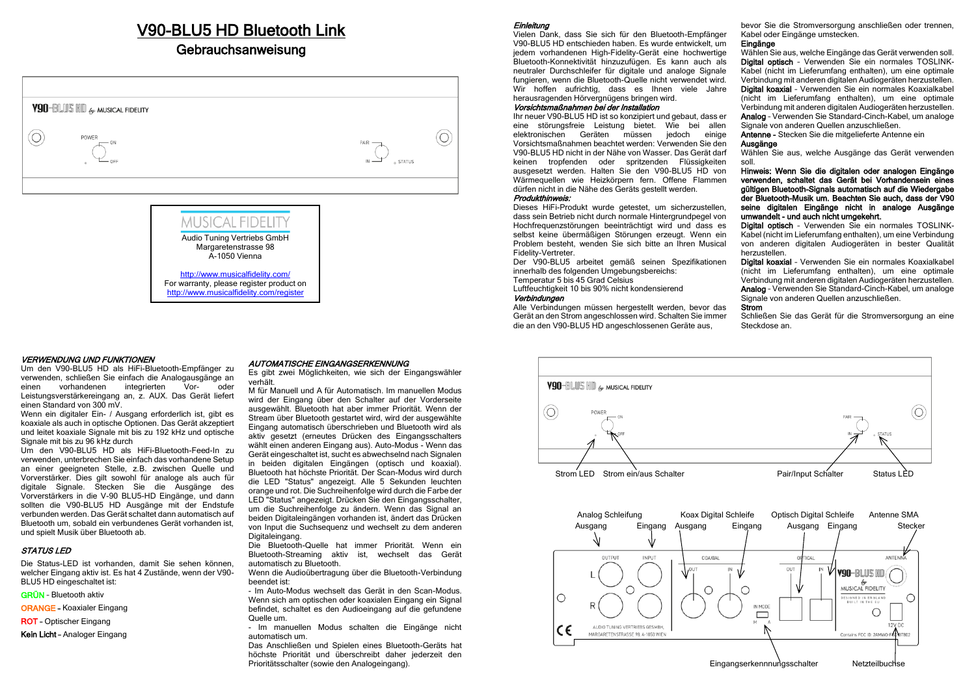# V90-BLU5 HD Bluetooth Link

# **Gebrauchsanweisung**





### VERWENDUNG UND FUNKTIONEN

Um den V90-BLU5 HD als HiFi-Bluetooth-Empfänger zu verwenden, schließen Sie einfach die Analogausgänge an einen vorhandenen integrierten Vor- oder einen vorhandenen integrierten Vor- oder Leistungsverstärkereingang an, z. AUX. Das Gerät liefert einen Standard von 300 mV.

Wenn ein digitaler Ein- / Ausgang erforderlich ist, gibt es koaxiale als auch in optische Optionen. Das Gerät akzeptiert und leitet koaxiale Signale mit bis zu 192 kHz und optische Signale mit bis zu 96 kHz durch

Um den V90-BLU5 HD als HiFi-Bluetooth-Feed-In zu verwenden, unterbrechen Sie einfach das vorhandene Setup an einer geeigneten Stelle, z.B. zwischen Quelle und Vorverstärker. Dies gilt sowohl für analoge als auch für digitale Signale. Stecken Sie die Ausgänge des Vorverstärkers in die V-90 BLU5-HD Eingänge, und dann sollten die V90-BLU5 HD Ausgänge mit der Endstufe verbunden werden. Das Gerät schaltet dann automatisch auf Bluetooth um, sobald ein verbundenes Gerät vorhanden ist, und spielt Musik über Bluetooth ab.

# STATUS LED

Die Status-LED ist vorhanden, damit Sie sehen können, welcher Eingang aktiv ist. Es hat 4 Zustände, wenn der V90- BLU5 HD eingeschaltet ist:

GRÜN – Bluetooth aktiv

ORANGE – Koaxialer Eingang

ROT – Optischer Eingang

Kein Licht – Analoger Eingang

# AUTOMATISCHE EINGANGSERKENNUNG

Es gibt zwei Möglichkeiten, wie sich der Eingangswähler verhält.

M für Manuell und A für Automatisch. Im manuellen Modus wird der Eingang über den Schalter auf der Vorderseite ausgewählt. Bluetooth hat aber immer Priorität. Wenn der Stream über Bluetooth gestartet wird, wird der ausgewählte Eingang automatisch überschrieben und Bluetooth wird als aktiv gesetzt (erneutes Drücken des Eingangsschalters wählt einen anderen Eingang aus). Auto-Modus - Wenn das Gerät eingeschaltet ist, sucht es abwechselnd nach Signalen in beiden digitalen Eingängen (optisch und koaxial). Bluetooth hat höchste Priorität. Der Scan-Modus wird durch die LED "Status" angezeigt. Alle 5 Sekunden leuchten orange und rot. Die Suchreihenfolge wird durch die Farbe der LED "Status" angezeigt. Drücken Sie den Eingangsschalter, um die Suchreihenfolge zu ändern. Wenn das Signal an beiden Digitaleingängen vorhanden ist, ändert das Drücken von Input die Suchsequenz und wechselt zu dem anderen Digitaleingang.

Die Bluetooth-Quelle hat immer Priorität. Wenn ein Bluetooth-Streaming aktiv ist, wechselt das Gerät automatisch zu Bluetooth.

Wenn die Audioübertragung über die Bluetooth-Verbindung beendet ist:

- Im Auto-Modus wechselt das Gerät in den Scan-Modus. Wenn sich am optischen oder koaxialen Eingang ein Signal befindet, schaltet es den Audioeingang auf die gefundene Quelle um.

- Im manuellen Modus schalten die Eingänge nicht automatisch um.

Das Anschließen und Spielen eines Bluetooth-Geräts hat höchste Priorität und überschreibt daher jederzeit den Prioritätsschalter (sowie den Analogeingang).

# Einleitung

Vielen Dank, dass Sie sich für den Bluetooth-Empfänger V90-BLU5 HD entschieden haben. Es wurde entwickelt, um jedem vorhandenen High-Fidelity-Gerät eine hochwertige Bluetooth-Konnektivität hinzuzufügen. Es kann auch als neutraler Durchschleifer für digitale und analoge Signale fungieren, wenn die Bluetooth-Quelle nicht verwendet wird. Wir hoffen aufrichtig, dass es Ihnen viele Jahre herausragenden Hörvergnügens bringen wird.

# Vorsichtsmaßnahmen bei der Installation

Ihr neuer V90-BLU5 HD ist so konzipiert und gebaut, dass er eine störungsfreie Leistung bietet. Wie bei allen<br>elektronischen Geräten müssen jedoch einige elektronischen Geräten müssen Vorsichtsmaßnahmen beachtet werden: Verwenden Sie den V90-BLU5 HD nicht in der Nähe von Wasser. Das Gerät darf keinen tropfenden oder spritzenden Flüssigkeiten ausgesetzt werden. Halten Sie den V90-BLU5 HD von Wärmequellen wie Heizkörpern fern. Offene Flammen dürfen nicht in die Nähe des Geräts gestellt werden.

# Produkthinweis:

Dieses HiFi-Produkt wurde getestet, um sicherzustellen, dass sein Betrieb nicht durch normale Hintergrundpegel von Hochfrequenzstörungen beeinträchtigt wird und dass es selbst keine übermäßigen Störungen erzeugt. Wenn ein Problem besteht, wenden Sie sich bitte an Ihren Musical Fidelity-Vertreter.

Der V90-BLU5 arbeitet gemäß seinen Spezifikationen innerhalb des folgenden Umgebungsbereichs:

Temperatur 5 bis 45 Grad Celsius Luftfeuchtigkeit 10 bis 90% nicht kondensierend

# Verbindungen

Alle Verbindungen müssen hergestellt werden, bevor das Gerät an den Strom angeschlossen wird. Schalten Sie immer die an den V90-BLU5 HD angeschlossenen Geräte aus,

bevor Sie die Stromversorgung anschließen oder trennen, Kabel oder Eingänge umstecken.

### Eingänge

Wählen Sie aus, welche Eingänge das Gerät verwenden soll. Digital optisch – Verwenden Sie ein normales TOSLINK-Kabel (nicht im Lieferumfang enthalten), um eine optimale Verbindung mit anderen digitalen Audiogeräten herzustellen. Digital koaxial - Verwenden Sie ein normales Koaxialkabel (nicht im Lieferumfang enthalten), um eine optimale Verbindung mit anderen digitalen Audiogeräten herzustellen. Analog – Verwenden Sie Standard-Cinch-Kabel, um analoge Signale von anderen Quellen anzuschließen.

Antenne - Stecken Sie die mitgelieferte Antenne ein

### Ausgänge

Wählen Sie aus, welche Ausgänge das Gerät verwenden soll.

Hinweis: Wenn Sie die digitalen oder analogen Eingänge verwenden, schaltet das Gerät bei Vorhandensein eines gültigen Bluetooth-Signals automatisch auf die Wiedergabe der Bluetooth-Musik um. Beachten Sie auch, dass der V90 seine digitalen Eingänge nicht in analoge Ausgänge umwandelt - und auch nicht umgekehrt.

Digital optisch - Verwenden Sie ein normales TOSLINK-Kabel (nicht im Lieferumfang enthalten), um eine Verbindung von anderen digitalen Audiogeräten in bester Qualität herzustellen.

Digital koaxial - Verwenden Sie ein normales Koaxialkabel (nicht im Lieferumfang enthalten), um eine optimale Verbindung mit anderen digitalen Audiogeräten herzustellen. Analog – Verwenden Sie Standard-Cinch-Kabel, um analoge Signale von anderen Quellen anzuschließen.

# Strom

Schließen Sie das Gerät für die Stromversorgung an eine Steckdose an.